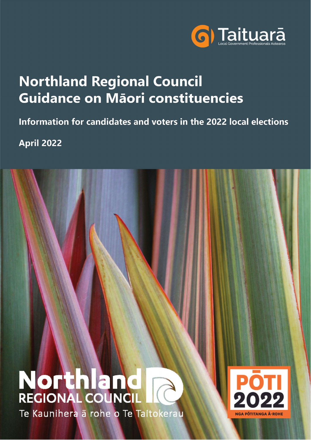

# **Northland Regional Council** Guidance on Māori constituencies

# Information for candidates and voters in the 2022 local elections

**April 2022** 

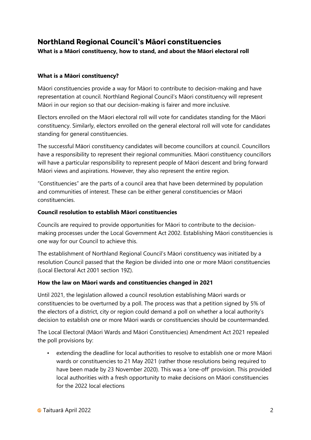## Northland Regional Council's Māori constituencies

What is a Māori constituency, how to stand, and about the Māori electoral roll

#### What is a Māori constituency?

Māori constituencies provide a way for Māori to contribute to decision-making and have representation at council. Northland Regional Council's Māori constituency will represent Māori in our region so that our decision-making is fairer and more inclusive.

Electors enrolled on the Māori electoral roll will vote for candidates standing for the Māori constituency. Similarly, electors enrolled on the general electoral roll will vote for candidates standing for general constituencies.

The successful Māori constituency candidates will become councillors at council. Councillors have a responsibility to represent their regional communities. Māori constituency councillors will have a particular responsibility to represent people of Māori descent and bring forward Māori views and aspirations. However, they also represent the entire region.

"Constituencies" are the parts of a council area that have been determined by population and communities of interest. These can be either general constituencies or Māori constituencies.

#### Council resolution to establish Māori constituencies

Councils are required to provide opportunities for Māori to contribute to the decisionmaking processes under the Local Government Act 2002. Establishing Māori constituencies is one way for our Council to achieve this.

The establishment of Northland Regional Council's Māori constituency was initiated by a resolution Council passed that the Region be divided into one or more Māori constituencies (Local Electoral Act 2001 section 19Z).

#### How the law on Māori wards and constituencies changed in 2021

Until 2021, the legislation allowed a council resolution establishing Māori wards or constituencies to be overturned by a poll. The process was that a petition signed by 5% of the electors of a district, city or region could demand a poll on whether a local authority's decision to establish one or more Māori wards or constituencies should be countermanded.

The Local Electoral (Māori Wards and Māori Constituencies) Amendment Act 2021 repealed the poll provisions by:

• extending the deadline for local authorities to resolve to establish one or more Māori wards or constituencies to 21 May 2021 (rather those resolutions being required to have been made by 23 November 2020). This was a 'one-off' provision. This provided local authorities with a fresh opportunity to make decisions on Māori constituencies for the 2022 local elections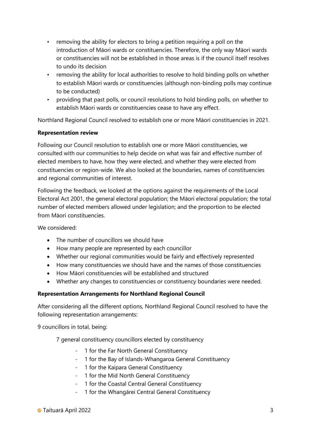- removing the ability for electors to bring a petition requiring a poll on the introduction of Māori wards or constituencies. Therefore, the only way Māori wards or constituencies will not be established in those areas is if the council itself resolves to undo its decision
- removing the ability for local authorities to resolve to hold binding polls on whether to establish Māori wards or constituencies (although non-binding polls may continue to be conducted)
- providing that past polls, or council resolutions to hold binding polls, on whether to establish Māori wards or constituencies cease to have any effect.

Northland Regional Council resolved to establish one or more Māori constituencies in 2021.

#### Representation review

Following our Council resolution to establish one or more Māori constituencies, we consulted with our communities to help decide on what was fair and effective number of elected members to have, how they were elected, and whether they were elected from constituencies or region-wide. We also looked at the boundaries, names of constituencies and regional communities of interest.

Following the feedback, we looked at the options against the requirements of the Local Electoral Act 2001, the general electoral population; the Māori electoral population; the total number of elected members allowed under legislation; and the proportion to be elected from Māori constituencies.

We considered:

- The number of councillors we should have
- How many people are represented by each councillor
- Whether our regional communities would be fairly and effectively represented
- How many constituencies we should have and the names of those constituencies
- How Māori constituencies will be established and structured
- Whether any changes to constituencies or constituency boundaries were needed.

#### Representation Arrangements for Northland Regional Council

After considering all the different options, Northland Regional Council resolved to have the following representation arrangements:

9 councillors in total, being:

7 general constituency councillors elected by constituency

- 1 for the Far North General Constituency
- 1 for the Bay of Islands-Whangaroa General Constituency
- 1 for the Kaipara General Constituency
- 1 for the Mid North General Constituency
- 1 for the Coastal Central General Constituency
- 1 for the Whangārei Central General Constituency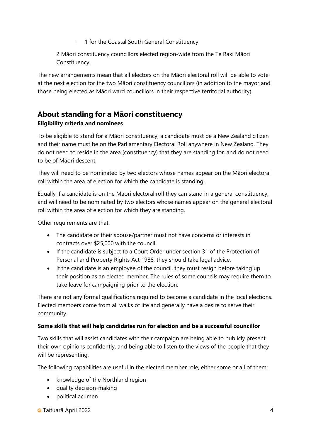- 1 for the Coastal South General Constituency

2 Māori constituency councillors elected region-wide from the Te Raki Māori Constituency.

The new arrangements mean that all electors on the Māori electoral roll will be able to vote at the next election for the two Māori constituency councillors (in addition to the mayor and those being elected as Māori ward councillors in their respective territorial authority).

# About standing for a Māori constituency

#### Eligibility criteria and nominees

To be eligible to stand for a Māori constituency, a candidate must be a New Zealand citizen and their name must be on the Parliamentary Electoral Roll anywhere in New Zealand. They do not need to reside in the area (constituency) that they are standing for, and do not need to be of Māori descent.

They will need to be nominated by two electors whose names appear on the Māori electoral roll within the area of election for which the candidate is standing.

Equally if a candidate is on the Māori electoral roll they can stand in a general constituency, and will need to be nominated by two electors whose names appear on the general electoral roll within the area of election for which they are standing.

Other requirements are that:

- The candidate or their spouse/partner must not have concerns or interests in contracts over \$25,000 with the council.
- If the candidate is subject to a Court Order under section 31 of the Protection of Personal and Property Rights Act 1988, they should take legal advice.
- If the candidate is an employee of the council, they must resign before taking up their position as an elected member. The rules of some councils may require them to take leave for campaigning prior to the election.

There are not any formal qualifications required to become a candidate in the local elections. Elected members come from all walks of life and generally have a desire to serve their community.

#### Some skills that will help candidates run for election and be a successful councillor

Two skills that will assist candidates with their campaign are being able to publicly present their own opinions confidently, and being able to listen to the views of the people that they will be representing.

The following capabilities are useful in the elected member role, either some or all of them:

- knowledge of the Northland region
- quality decision-making
- political acumen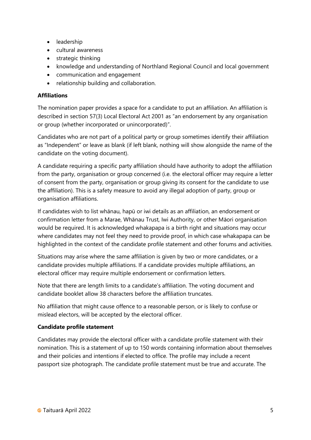- leadership
- cultural awareness
- $\bullet$  strategic thinking
- knowledge and understanding of Northland Regional Council and local government
- communication and engagement
- relationship building and collaboration.

#### **Affiliations**

The nomination paper provides a space for a candidate to put an affiliation. An affiliation is described in section 57(3) Local Electoral Act 2001 as "an endorsement by any organisation or group (whether incorporated or unincorporated)".

Candidates who are not part of a political party or group sometimes identify their affiliation as "Independent" or leave as blank (if left blank, nothing will show alongside the name of the candidate on the voting document).

A candidate requiring a specific party affiliation should have authority to adopt the affiliation from the party, organisation or group concerned (i.e. the electoral officer may require a letter of consent from the party, organisation or group giving its consent for the candidate to use the affiliation). This is a safety measure to avoid any illegal adoption of party, group or organisation affiliations.

If candidates wish to list whānau, hapū or iwi details as an affiliation, an endorsement or confirmation letter from a Marae, Whānau Trust, Iwi Authority, or other Māori organisation would be required. It is acknowledged whakapapa is a birth right and situations may occur where candidates may not feel they need to provide proof, in which case whakapapa can be highlighted in the context of the candidate profile statement and other forums and activities.

Situations may arise where the same affiliation is given by two or more candidates, or a candidate provides multiple affiliations. If a candidate provides multiple affiliations, an electoral officer may require multiple endorsement or confirmation letters.

Note that there are length limits to a candidate's affiliation. The voting document and candidate booklet allow 38 characters before the affiliation truncates.

No affiliation that might cause offence to a reasonable person, or is likely to confuse or mislead electors, will be accepted by the electoral officer.

#### Candidate profile statement

Candidates may provide the electoral officer with a candidate profile statement with their nomination. This is a statement of up to 150 words containing information about themselves and their policies and intentions if elected to office. The profile may include a recent passport size photograph. The candidate profile statement must be true and accurate. The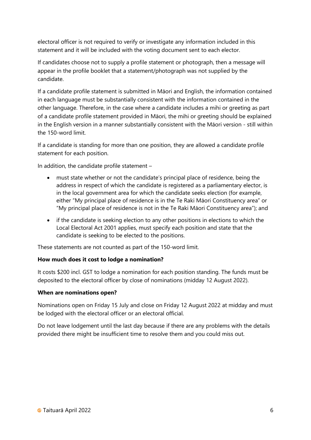electoral officer is not required to verify or investigate any information included in this statement and it will be included with the voting document sent to each elector.

If candidates choose not to supply a profile statement or photograph, then a message will appear in the profile booklet that a statement/photograph was not supplied by the candidate.

If a candidate profile statement is submitted in Māori and English, the information contained in each language must be substantially consistent with the information contained in the other language. Therefore, in the case where a candidate includes a mihi or greeting as part of a candidate profile statement provided in Māori, the mihi or greeting should be explained in the English version in a manner substantially consistent with the Māori version - still within the 150-word limit.

If a candidate is standing for more than one position, they are allowed a candidate profile statement for each position.

In addition, the candidate profile statement –

- must state whether or not the candidate's principal place of residence, being the address in respect of which the candidate is registered as a parliamentary elector, is in the local government area for which the candidate seeks election (for example, either "My principal place of residence is in the Te Raki Māori Constituency area" or "My principal place of residence is not in the Te Raki Māori Constituency area"); and
- if the candidate is seeking election to any other positions in elections to which the Local Electoral Act 2001 applies, must specify each position and state that the candidate is seeking to be elected to the positions.

These statements are not counted as part of the 150-word limit.

#### How much does it cost to lodge a nomination?

It costs \$200 incl. GST to lodge a nomination for each position standing. The funds must be deposited to the electoral officer by close of nominations (midday 12 August 2022).

#### When are nominations open?

Nominations open on Friday 15 July and close on Friday 12 August 2022 at midday and must be lodged with the electoral officer or an electoral official.

Do not leave lodgement until the last day because if there are any problems with the details provided there might be insufficient time to resolve them and you could miss out.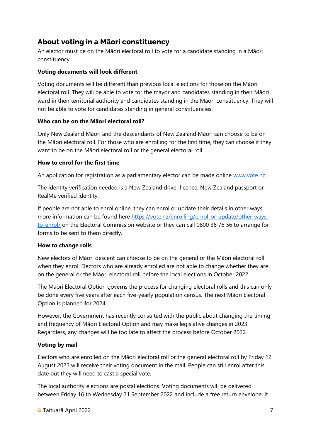## About voting in a Māori constituency

An elector must be on the Māori electoral roll to vote for a candidate standing in a Māori constituency.

#### Voting documents will look different

Voting documents will be different than previous local elections for those on the Māori electoral roll. They will be able to vote for the mayor and candidates standing in their Māori ward in their territorial authority and candidates standing in the Māori constituency. They will not be able to vote for candidates standing in general constituencies.

#### Who can be on the Māori electoral roll?

Only New Zealand Māori and the descendants of New Zealand Māori can choose to be on the Māori electoral roll. For those who are enrolling for the first time, they can choose if they want to be on the Māori electoral roll or the general electoral roll.

#### How to enrol for the first time

An application for registration as a parliamentary elector can be made online www.vote.nz.

The identity verification needed is a New Zealand driver licence, New Zealand passport or RealMe verified identity.

If people are not able to enrol online, they can enrol or update their details in other ways, more information can be found here https://vote.nz/enrolling/enrol-or-update/other-waysto-enrol/ on the Electoral Commission website or they can call 0800 36 76 56 to arrange for forms to be sent to them directly.

#### How to change rolls

New electors of Māori descent can choose to be on the general or the Māori electoral roll when they enrol. Electors who are already enrolled are not able to change whether they are on the general or the Māori electoral roll before the local elections in October 2022.

The Māori Electoral Option governs the process for changing electoral rolls and this can only be done every five years after each five-yearly population census. The next Māori Electoral Option is planned for 2024.

However, the Government has recently consulted with the public about changing the timing and frequency of Māori Electoral Option and may make legislative changes in 2023. Regardless, any changes will be too late to affect the process before October 2022.

#### Voting by mail

Electors who are enrolled on the Māori electoral roll or the general electoral roll by Friday 12 August 2022 will receive their voting document in the mail. People can still enrol after this date but they will need to cast a special vote.

The local authority elections are postal elections. Voting documents will be delivered between Friday 16 to Wednesday 21 September 2022 and include a free return envelope. It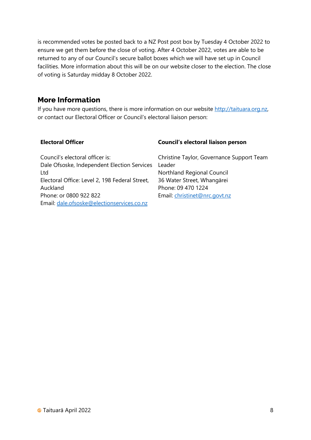is recommended votes be posted back to a NZ Post post box by Tuesday 4 October 2022 to ensure we get them before the close of voting. After 4 October 2022, votes are able to be returned to any of our Council's secure ballot boxes which we will have set up in Council facilities. More information about this will be on our website closer to the election. The close of voting is Saturday midday 8 October 2022.

### More Information

If you have more questions, there is more information on our website http://taituara.org.nz, or contact our Electoral Officer or Council's electoral liaison person:

#### Electoral Officer

#### Council's electoral liaison person

| Council's electoral officer is:                | C  |
|------------------------------------------------|----|
| Dale Ofsoske, Independent Election Services    | L  |
| Ltd                                            | N  |
| Electoral Office: Level 2, 198 Federal Street, | 31 |
| Auckland                                       | P  |
| Phone: or 0800 922 822                         | F۱ |
| Email: dale.ofsoske@electionservices.co.nz     |    |

hristine Taylor, Governance Support Team eader Iorthland Regional Council 6 Water Street, Whangārei hone: 09 470 1224 mail: christinet@nrc.govt.nz